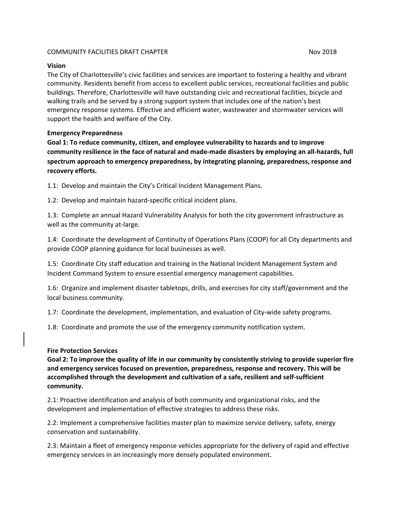#### COMMUNITY FACILITIES DRAFT CHAPTER NOV 2018

#### **Vision**

The City of Charlottesville's civic facilities and services are important to fostering a healthy and vibrant community. Residents benefit from access to excellent public services, recreational facilities and public buildings. Therefore, Charlottesville will have outstanding civic and recreational facilities, bicycle and walking trails and be served by a strong support system that includes one of the nation's best emergency response systems. Effective and efficient water, wastewater and stormwater services will support the health and welfare of the City.

#### **Emergency Preparedness**

**Goal 1: To reduce community, citizen, and employee vulnerability to hazards and to improve community resilience in the face of natural and made-made disasters by employing an all-hazards, full spectrum approach to emergency preparedness, by integrating planning, preparedness, response and recovery efforts.**

1.1: Develop and maintain the City's Critical Incident Management Plans.

1.2: Develop and maintain hazard-specific critical incident plans.

1.3: Complete an annual Hazard Vulnerability Analysis for both the city government infrastructure as well as the community at-large.

1.4: Coordinate the development of Continuity of Operations Plans (COOP) for all City departments and provide COOP planning guidance for local businesses as well.

1.5: Coordinate City staff education and training in the National Incident Management System and Incident Command System to ensure essential emergency management capabilities.

1.6: Organize and implement disaster tabletops, drills, and exercises for city staff/government and the local business community.

1.7: Coordinate the development, implementation, and evaluation of City-wide safety programs.

1.8: Coordinate and promote the use of the emergency community notification system.

### **Fire Protection Services**

**Goal 2: To improve the quality of life in our community by consistently striving to provide superior fire and emergency services focused on prevention, preparedness, response and recovery. This will be accomplished through the development and cultivation of a safe, resilient and self-sufficient community.**

2.1: Proactive identification and analysis of both community and organizational risks, and the development and implementation of effective strategies to address these risks.

2.2: Implement a comprehensive facilities master plan to maximize service delivery, safety, energy conservation and sustainability.

2.3: Maintain a fleet of emergency response vehicles appropriate for the delivery of rapid and effective emergency services in an increasingly more densely populated environment.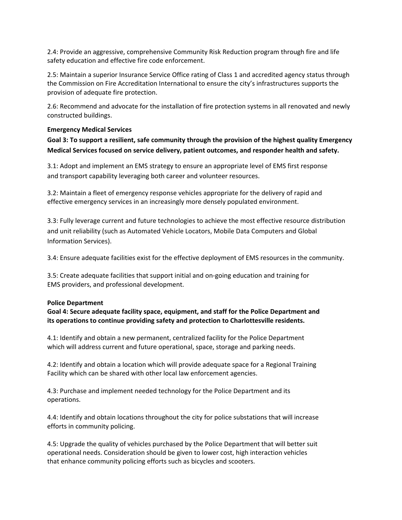2.4: Provide an aggressive, comprehensive Community Risk Reduction program through fire and life safety education and effective fire code enforcement.

2.5: Maintain a superior Insurance Service Office rating of Class 1 and accredited agency status through the Commission on Fire Accreditation International to ensure the city's infrastructures supports the provision of adequate fire protection.

2.6: Recommend and advocate for the installation of fire protection systems in all renovated and newly constructed buildings.

### **Emergency Medical Services**

**Goal 3: To support a resilient, safe community through the provision of the highest quality Emergency Medical Services focused on service delivery, patient outcomes, and responder health and safety.**

3.1: Adopt and implement an EMS strategy to ensure an appropriate level of EMS first response and transport capability leveraging both career and volunteer resources.

3.2: Maintain a fleet of emergency response vehicles appropriate for the delivery of rapid and effective emergency services in an increasingly more densely populated environment.

3.3: Fully leverage current and future technologies to achieve the most effective resource distribution and unit reliability (such as Automated Vehicle Locators, Mobile Data Computers and Global Information Services).

3.4: Ensure adequate facilities exist for the effective deployment of EMS resources in the community.

3.5: Create adequate facilities that support initial and on-going education and training for EMS providers, and professional development.

### **Police Department**

**Goal 4: Secure adequate facility space, equipment, and staff for the Police Department and its operations to continue providing safety and protection to Charlottesville residents.**

4.1: Identify and obtain a new permanent, centralized facility for the Police Department which will address current and future operational, space, storage and parking needs.

4.2: Identify and obtain a location which will provide adequate space for a Regional Training Facility which can be shared with other local law enforcement agencies.

4.3: Purchase and implement needed technology for the Police Department and its operations.

4.4: Identify and obtain locations throughout the city for police substations that will increase efforts in community policing.

4.5: Upgrade the quality of vehicles purchased by the Police Department that will better suit operational needs. Consideration should be given to lower cost, high interaction vehicles that enhance community policing efforts such as bicycles and scooters.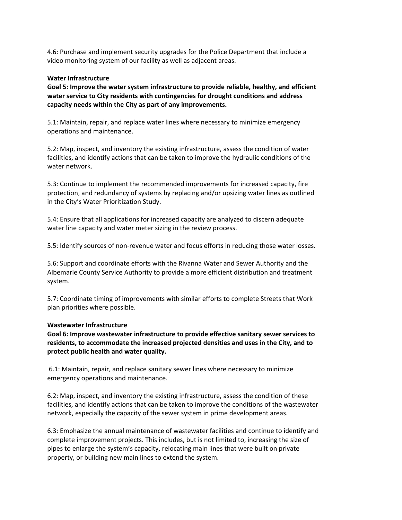4.6: Purchase and implement security upgrades for the Police Department that include a video monitoring system of our facility as well as adjacent areas.

#### **Water Infrastructure**

**Goal 5: Improve the water system infrastructure to provide reliable, healthy, and efficient water service to City residents with contingencies for drought conditions and address capacity needs within the City as part of any improvements.**

5.1: Maintain, repair, and replace water lines where necessary to minimize emergency operations and maintenance.

5.2: Map, inspect, and inventory the existing infrastructure, assess the condition of water facilities, and identify actions that can be taken to improve the hydraulic conditions of the water network.

5.3: Continue to implement the recommended improvements for increased capacity, fire protection, and redundancy of systems by replacing and/or upsizing water lines as outlined in the City's Water Prioritization Study.

5.4: Ensure that all applications for increased capacity are analyzed to discern adequate water line capacity and water meter sizing in the review process.

5.5: Identify sources of non-revenue water and focus efforts in reducing those water losses.

5.6: Support and coordinate efforts with the Rivanna Water and Sewer Authority and the Albemarle County Service Authority to provide a more efficient distribution and treatment system.

5.7: Coordinate timing of improvements with similar efforts to complete Streets that Work plan priorities where possible.

### **Wastewater Infrastructure**

**Goal 6: Improve wastewater infrastructure to provide effective sanitary sewer services to residents, to accommodate the increased projected densities and uses in the City, and to protect public health and water quality.**

6.1: Maintain, repair, and replace sanitary sewer lines where necessary to minimize emergency operations and maintenance.

6.2: Map, inspect, and inventory the existing infrastructure, assess the condition of these facilities, and identify actions that can be taken to improve the conditions of the wastewater network, especially the capacity of the sewer system in prime development areas.

6.3: Emphasize the annual maintenance of wastewater facilities and continue to identify and complete improvement projects. This includes, but is not limited to, increasing the size of pipes to enlarge the system's capacity, relocating main lines that were built on private property, or building new main lines to extend the system.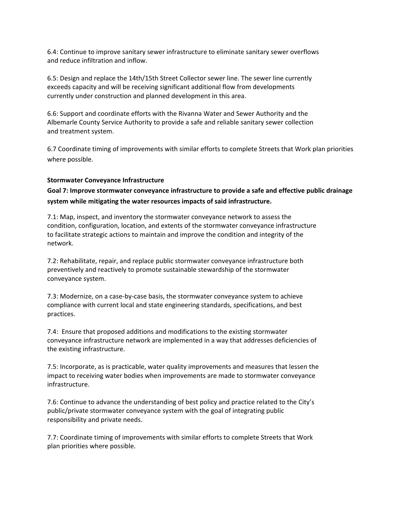6.4: Continue to improve sanitary sewer infrastructure to eliminate sanitary sewer overflows and reduce infiltration and inflow.

6.5: Design and replace the 14th/15th Street Collector sewer line. The sewer line currently exceeds capacity and will be receiving significant additional flow from developments currently under construction and planned development in this area.

6.6: Support and coordinate efforts with the Rivanna Water and Sewer Authority and the Albemarle County Service Authority to provide a safe and reliable sanitary sewer collection and treatment system.

6.7 Coordinate timing of improvements with similar efforts to complete Streets that Work plan priorities where possible.

### **Stormwater Conveyance Infrastructure**

**Goal 7: Improve stormwater conveyance infrastructure to provide a safe and effective public drainage system while mitigating the water resources impacts of said infrastructure.**

7.1: Map, inspect, and inventory the stormwater conveyance network to assess the condition, configuration, location, and extents of the stormwater conveyance infrastructure to facilitate strategic actions to maintain and improve the condition and integrity of the network.

7.2: Rehabilitate, repair, and replace public stormwater conveyance infrastructure both preventively and reactively to promote sustainable stewardship of the stormwater conveyance system.

7.3: Modernize, on a case-by-case basis, the stormwater conveyance system to achieve compliance with current local and state engineering standards, specifications, and best practices.

7.4: Ensure that proposed additions and modifications to the existing stormwater conveyance infrastructure network are implemented in a way that addresses deficiencies of the existing infrastructure.

7.5: Incorporate, as is practicable, water quality improvements and measures that lessen the impact to receiving water bodies when improvements are made to stormwater conveyance infrastructure.

7.6: Continue to advance the understanding of best policy and practice related to the City's public/private stormwater conveyance system with the goal of integrating public responsibility and private needs.

7.7: Coordinate timing of improvements with similar efforts to complete Streets that Work plan priorities where possible.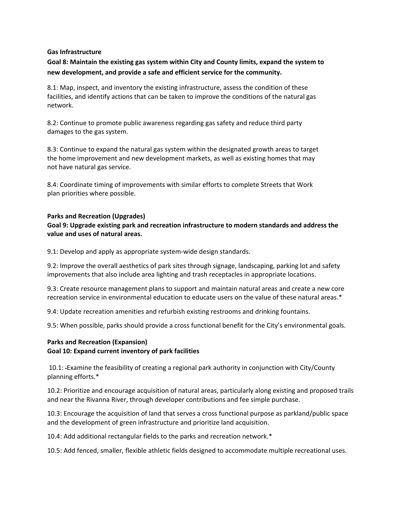#### **Gas Infrastructure**

**Goal 8: Maintain the existing gas system within City and County limits, expand the system to new development, and provide a safe and efficient service for the community.**

8.1: Map, inspect, and inventory the existing infrastructure, assess the condition of these facilities, and identify actions that can be taken to improve the conditions of the natural gas network.

8.2: Continue to promote public awareness regarding gas safety and reduce third party damages to the gas system.

8.3: Continue to expand the natural gas system within the designated growth areas to target the home improvement and new development markets, as well as existing homes that may not have natural gas service.

8.4: Coordinate timing of improvements with similar efforts to complete Streets that Work plan priorities where possible.

#### **Parks and Recreation (Upgrades)**

**Goal 9: Upgrade existing park and recreation infrastructure to modern standards and address the value and uses of natural areas.**

9.1: Develop and apply as appropriate system-wide design standards.

9.2: Improve the overall aesthetics of park sites through signage, landscaping, parking lot and safety improvements that also include area lighting and trash receptacles in appropriate locations.

9.3: Create resource management plans to support and maintain natural areas and create a new core recreation service in environmental education to educate users on the value of these natural areas.\*

9.4: Update recreation amenities and refurbish existing restrooms and drinking fountains.

9.5: When possible, parks should provide a cross functional benefit for the City's environmental goals.

### **Parks and Recreation (Expansion) Goal 10: Expand current inventory of park facilities**

10.1: Examine the feasibility of creating a regional park authority in conjunction with City/County planning efforts.\*

10.2: Prioritize and encourage acquisition of natural areas, particularly along existing and proposed trails and near the Rivanna River, through developer contributions and fee simple purchase.

10.3: Encourage the acquisition of land that serves a cross functional purpose as parkland/public space and the development of green infrastructure and prioritize land acquisition.

10.4: Add additional rectangular fields to the parks and recreation network.\*

10.5: Add fenced, smaller, flexible athletic fields designed to accommodate multiple recreational uses.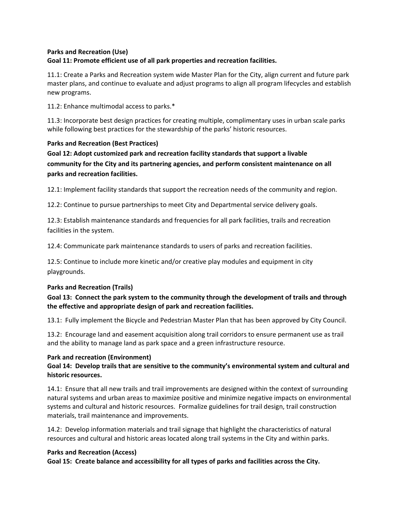# **Parks and Recreation (Use) Goal 11: Promote efficient use of all park properties and recreation facilities.**

11.1: Create a Parks and Recreation system wide Master Plan for the City, align current and future park master plans, and continue to evaluate and adjust programs to align all program lifecycles and establish new programs.

11.2: Enhance multimodal access to parks.\*

11.3: Incorporate best design practices for creating multiple, complimentary uses in urban scale parks while following best practices for the stewardship of the parks' historic resources.

# **Parks and Recreation (Best Practices)**

**Goal 12: Adopt customized park and recreation facility standards that support a livable community for the City and its partnering agencies, and perform consistent maintenance on all parks and recreation facilities.**

12.1: Implement facility standards that support the recreation needs of the community and region.

12.2: Continue to pursue partnerships to meet City and Departmental service delivery goals.

12.3: Establish maintenance standards and frequencies for all park facilities, trails and recreation facilities in the system.

12.4: Communicate park maintenance standards to users of parks and recreation facilities.

12.5: Continue to include more kinetic and/or creative play modules and equipment in city playgrounds.

# **Parks and Recreation (Trails)**

# **Goal 13: Connect the park system to the community through the development of trails and through the effective and appropriate design of park and recreation facilities.**

13.1: Fully implement the Bicycle and Pedestrian Master Plan that has been approved by City Council.

13.2: Encourage land and easement acquisition along trail corridors to ensure permanent use as trail and the ability to manage land as park space and a green infrastructure resource.

### **Park and recreation (Environment)**

**Goal 14: Develop trails that are sensitive to the community's environmental system and cultural and historic resources.** 

14.1: Ensure that all new trails and trail improvements are designed within the context of surrounding natural systems and urban areas to maximize positive and minimize negative impacts on environmental systems and cultural and historic resources. Formalize guidelines for trail design, trail construction materials, trail maintenance and improvements.

14.2: Develop information materials and trail signage that highlight the characteristics of natural resources and cultural and historic areas located along trail systems in the City and within parks.

### **Parks and Recreation (Access)**

**Goal 15: Create balance and accessibility for all types of parks and facilities across the City.**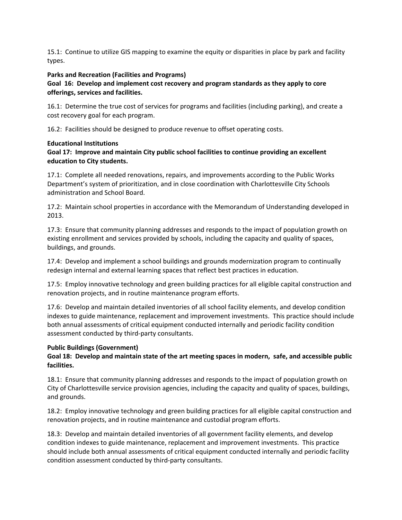15.1: Continue to utilize GIS mapping to examine the equity or disparities in place by park and facility types.

### **Parks and Recreation (Facilities and Programs)**

## **Goal 16: Develop and implement cost recovery and program standards as they apply to core offerings, services and facilities.**

16.1: Determine the true cost of services for programs and facilities (including parking), and create a cost recovery goal for each program.

16.2: Facilities should be designed to produce revenue to offset operating costs.

### **Educational Institutions**

## **Goal 17: Improve and maintain City public school facilities to continue providing an excellent education to City students.**

17.1: Complete all needed renovations, repairs, and improvements according to the Public Works Department's system of prioritization, and in close coordination with Charlottesville City Schools administration and School Board.

17.2: Maintain school properties in accordance with the Memorandum of Understanding developed in 2013.

17.3: Ensure that community planning addresses and responds to the impact of population growth on existing enrollment and services provided by schools, including the capacity and quality of spaces, buildings, and grounds.

17.4: Develop and implement a school buildings and grounds modernization program to continually redesign internal and external learning spaces that reflect best practices in education.

17.5: Employ innovative technology and green building practices for all eligible capital construction and renovation projects, and in routine maintenance program efforts.

17.6: Develop and maintain detailed inventories of all school facility elements, and develop condition indexes to guide maintenance, replacement and improvement investments. This practice should include both annual assessments of critical equipment conducted internally and periodic facility condition assessment conducted by third-party consultants.

# **Public Buildings (Government)**

# **Goal 18: Develop and maintain state of the art meeting spaces in modern, safe, and accessible public facilities.**

18.1: Ensure that community planning addresses and responds to the impact of population growth on City of Charlottesville service provision agencies, including the capacity and quality of spaces, buildings, and grounds.

18.2: Employ innovative technology and green building practices for all eligible capital construction and renovation projects, and in routine maintenance and custodial program efforts.

18.3: Develop and maintain detailed inventories of all government facility elements, and develop condition indexes to guide maintenance, replacement and improvement investments. This practice should include both annual assessments of critical equipment conducted internally and periodic facility condition assessment conducted by third-party consultants.